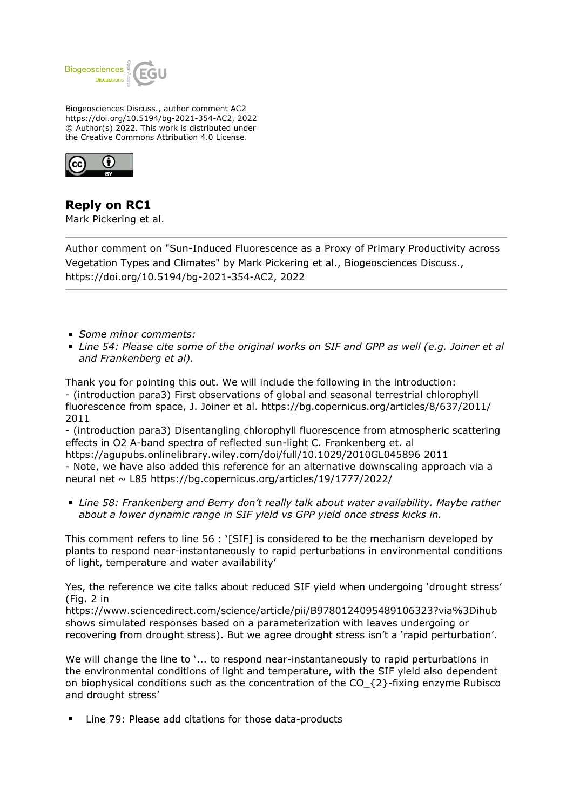

Biogeosciences Discuss., author comment AC2 https://doi.org/10.5194/bg-2021-354-AC2, 2022 © Author(s) 2022. This work is distributed under the Creative Commons Attribution 4.0 License.



**Reply on RC1** Mark Pickering et al.

Author comment on "Sun-Induced Fluorescence as a Proxy of Primary Productivity across Vegetation Types and Climates" by Mark Pickering et al., Biogeosciences Discuss., https://doi.org/10.5194/bg-2021-354-AC2, 2022

- *Some minor comments:*
- *Line 54: Please cite some of the original works on SIF and GPP as well (e.g. Joiner et al and Frankenberg et al).*

Thank you for pointing this out. We will include the following in the introduction: - (introduction para3) First observations of global and seasonal terrestrial chlorophyll fluorescence from space, J. Joiner et al. https://bg.copernicus.org/articles/8/637/2011/ 2011

- (introduction para3) Disentangling chlorophyll fluorescence from atmospheric scattering effects in O2 A-band spectra of reflected sun-light C. Frankenberg et. al

https://agupubs.onlinelibrary.wiley.com/doi/full/10.1029/2010GL045896 2011 - Note, we have also added this reference for an alternative downscaling approach via a neural net ~ L85 https://bg.copernicus.org/articles/19/1777/2022/

*Line 58: Frankenberg and Berry don't really talk about water availability. Maybe rather about a lower dynamic range in SIF yield vs GPP yield once stress kicks in.*

This comment refers to line 56 : '[SIF] is considered to be the mechanism developed by plants to respond near-instantaneously to rapid perturbations in environmental conditions of light, temperature and water availability'

Yes, the reference we cite talks about reduced SIF yield when undergoing 'drought stress' (Fig. 2 in

https://www.sciencedirect.com/science/article/pii/B9780124095489106323?via%3Dihub shows simulated responses based on a parameterization with leaves undergoing or recovering from drought stress). But we agree drought stress isn't a 'rapid perturbation'.

We will change the line to '... to respond near-instantaneously to rapid perturbations in the environmental conditions of light and temperature, with the SIF yield also dependent on biophysical conditions such as the concentration of the CO  $\{2\}$ -fixing enzyme Rubisco and drought stress'

Line 79: Please add citations for those data-products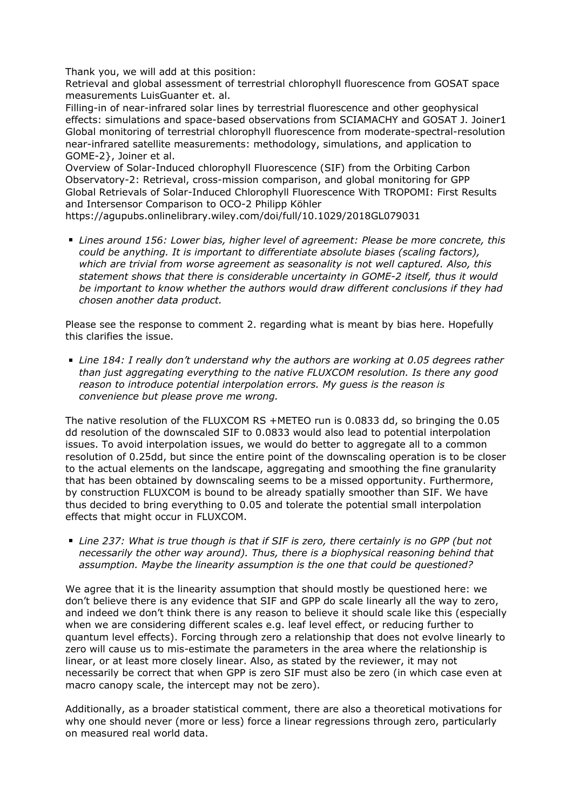Thank you, we will add at this position:

Retrieval and global assessment of terrestrial chlorophyll fluorescence from GOSAT space measurements LuisGuanter et. al.

Filling-in of near-infrared solar lines by terrestrial fluorescence and other geophysical effects: simulations and space-based observations from SCIAMACHY and GOSAT J. Joiner1 Global monitoring of terrestrial chlorophyll fluorescence from moderate-spectral-resolution near-infrared satellite measurements: methodology, simulations, and application to GOME-2}, Joiner et al.

Overview of Solar-Induced chlorophyll Fluorescence (SIF) from the Orbiting Carbon Observatory-2: Retrieval, cross-mission comparison, and global monitoring for GPP Global Retrievals of Solar-Induced Chlorophyll Fluorescence With TROPOMI: First Results and Intersensor Comparison to OCO-2 Philipp Köhler

https://agupubs.onlinelibrary.wiley.com/doi/full/10.1029/2018GL079031

*Lines around 156: Lower bias, higher level of agreement: Please be more concrete, this could be anything. It is important to differentiate absolute biases (scaling factors), which are trivial from worse agreement as seasonality is not well captured. Also, this statement shows that there is considerable uncertainty in GOME-2 itself, thus it would be important to know whether the authors would draw different conclusions if they had chosen another data product.*

Please see the response to comment 2. regarding what is meant by bias here. Hopefully this clarifies the issue.

*Line 184: I really don't understand why the authors are working at 0.05 degrees rather than just aggregating everything to the native FLUXCOM resolution. Is there any good reason to introduce potential interpolation errors. My guess is the reason is convenience but please prove me wrong.*

The native resolution of the FLUXCOM RS +METEO run is 0.0833 dd, so bringing the 0.05 dd resolution of the downscaled SIF to 0.0833 would also lead to potential interpolation issues. To avoid interpolation issues, we would do better to aggregate all to a common resolution of 0.25dd, but since the entire point of the downscaling operation is to be closer to the actual elements on the landscape, aggregating and smoothing the fine granularity that has been obtained by downscaling seems to be a missed opportunity. Furthermore, by construction FLUXCOM is bound to be already spatially smoother than SIF. We have thus decided to bring everything to 0.05 and tolerate the potential small interpolation effects that might occur in FLUXCOM.

*Line 237: What is true though is that if SIF is zero, there certainly is no GPP (but not necessarily the other way around). Thus, there is a biophysical reasoning behind that assumption. Maybe the linearity assumption is the one that could be questioned?*

We agree that it is the linearity assumption that should mostly be questioned here: we don't believe there is any evidence that SIF and GPP do scale linearly all the way to zero, and indeed we don't think there is any reason to believe it should scale like this (especially when we are considering different scales e.g. leaf level effect, or reducing further to quantum level effects). Forcing through zero a relationship that does not evolve linearly to zero will cause us to mis-estimate the parameters in the area where the relationship is linear, or at least more closely linear. Also, as stated by the reviewer, it may not necessarily be correct that when GPP is zero SIF must also be zero (in which case even at macro canopy scale, the intercept may not be zero).

Additionally, as a broader statistical comment, there are also a theoretical motivations for why one should never (more or less) force a linear regressions through zero, particularly on measured real world data.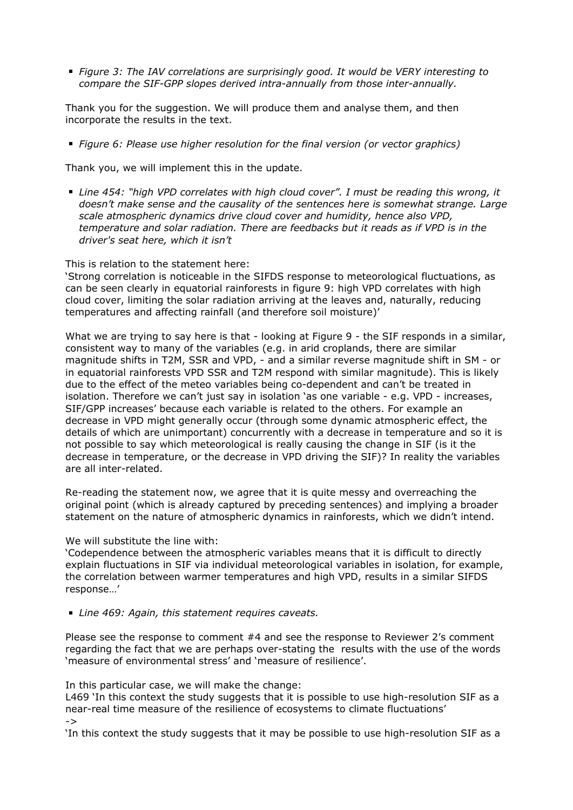*Figure 3: The IAV correlations are surprisingly good. It would be VERY interesting to compare the SIF-GPP slopes derived intra-annually from those inter-annually.*

Thank you for the suggestion. We will produce them and analyse them, and then incorporate the results in the text.

*Figure 6: Please use higher resolution for the final version (or vector graphics)*

Thank you, we will implement this in the update.

*Line 454: "high VPD correlates with high cloud cover". I must be reading this wrong, it doesn't make sense and the causality of the sentences here is somewhat strange. Large scale atmospheric dynamics drive cloud cover and humidity, hence also VPD, temperature and solar radiation. There are feedbacks but it reads as if VPD is in the driver's seat here, which it isn't*

## This is relation to the statement here:

'Strong correlation is noticeable in the SIFDS response to meteorological fluctuations, as can be seen clearly in equatorial rainforests in figure 9: high VPD correlates with high cloud cover, limiting the solar radiation arriving at the leaves and, naturally, reducing temperatures and affecting rainfall (and therefore soil moisture)'

What we are trying to say here is that - looking at Figure 9 - the SIF responds in a similar, consistent way to many of the variables (e.g. in arid croplands, there are similar magnitude shifts in T2M, SSR and VPD, - and a similar reverse magnitude shift in SM - or in equatorial rainforests VPD SSR and T2M respond with similar magnitude). This is likely due to the effect of the meteo variables being co-dependent and can't be treated in isolation. Therefore we can't just say in isolation 'as one variable - e.g. VPD - increases, SIF/GPP increases' because each variable is related to the others. For example an decrease in VPD might generally occur (through some dynamic atmospheric effect, the details of which are unimportant) concurrently with a decrease in temperature and so it is not possible to say which meteorological is really causing the change in SIF (is it the decrease in temperature, or the decrease in VPD driving the SIF)? In reality the variables are all inter-related.

Re-reading the statement now, we agree that it is quite messy and overreaching the original point (which is already captured by preceding sentences) and implying a broader statement on the nature of atmospheric dynamics in rainforests, which we didn't intend.

## We will substitute the line with:

'Codependence between the atmospheric variables means that it is difficult to directly explain fluctuations in SIF via individual meteorological variables in isolation, for example, the correlation between warmer temperatures and high VPD, results in a similar SIFDS response…'

*Line 469: Again, this statement requires caveats.*

Please see the response to comment #4 and see the response to Reviewer 2's comment regarding the fact that we are perhaps over-stating the results with the use of the words 'measure of environmental stress' and 'measure of resilience'.

In this particular case, we will make the change:

L469 'In this context the study suggests that it is possible to use high-resolution SIF as a near-real time measure of the resilience of ecosystems to climate fluctuations'

->

'In this context the study suggests that it may be possible to use high-resolution SIF as a